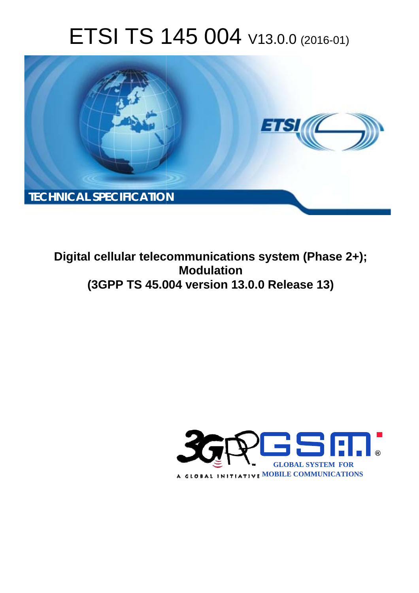# ETSI TS 145 004 V13.0.0 (2016-01)



**Digital cellular telecommunications system (Phase 2+); (3GPP TS 45.0 .004 version 13.0.0 Release 13 13) Modulation** 

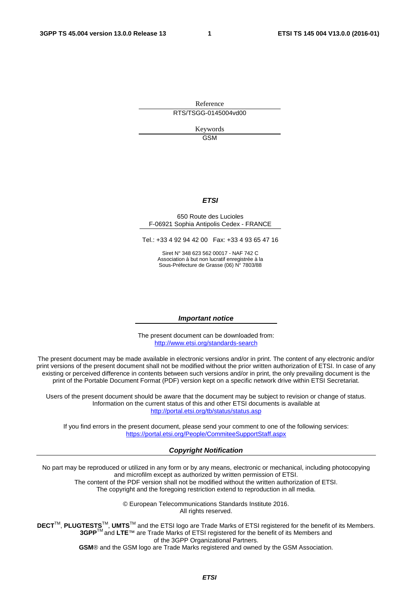Reference RTS/TSGG-0145004vd00

> Keywords **GSM**

#### *ETSI*

#### 650 Route des Lucioles F-06921 Sophia Antipolis Cedex - FRANCE

Tel.: +33 4 92 94 42 00 Fax: +33 4 93 65 47 16

Siret N° 348 623 562 00017 - NAF 742 C Association à but non lucratif enregistrée à la Sous-Préfecture de Grasse (06) N° 7803/88

#### *Important notice*

The present document can be downloaded from: <http://www.etsi.org/standards-search>

The present document may be made available in electronic versions and/or in print. The content of any electronic and/or print versions of the present document shall not be modified without the prior written authorization of ETSI. In case of any existing or perceived difference in contents between such versions and/or in print, the only prevailing document is the print of the Portable Document Format (PDF) version kept on a specific network drive within ETSI Secretariat.

Users of the present document should be aware that the document may be subject to revision or change of status. Information on the current status of this and other ETSI documents is available at <http://portal.etsi.org/tb/status/status.asp>

If you find errors in the present document, please send your comment to one of the following services: <https://portal.etsi.org/People/CommiteeSupportStaff.aspx>

#### *Copyright Notification*

No part may be reproduced or utilized in any form or by any means, electronic or mechanical, including photocopying and microfilm except as authorized by written permission of ETSI.

The content of the PDF version shall not be modified without the written authorization of ETSI. The copyright and the foregoing restriction extend to reproduction in all media.

> © European Telecommunications Standards Institute 2016. All rights reserved.

**DECT**TM, **PLUGTESTS**TM, **UMTS**TM and the ETSI logo are Trade Marks of ETSI registered for the benefit of its Members. **3GPP**TM and **LTE**™ are Trade Marks of ETSI registered for the benefit of its Members and of the 3GPP Organizational Partners.

**GSM**® and the GSM logo are Trade Marks registered and owned by the GSM Association.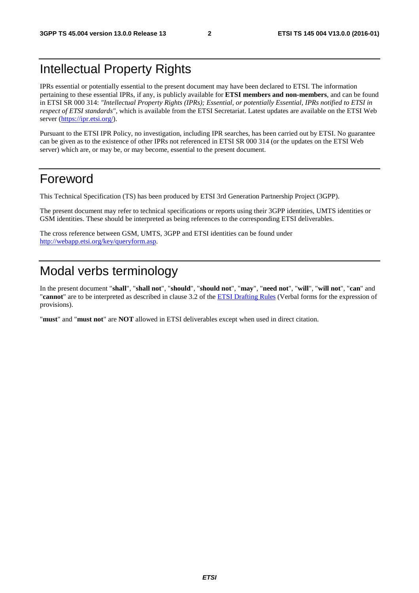# Intellectual Property Rights

IPRs essential or potentially essential to the present document may have been declared to ETSI. The information pertaining to these essential IPRs, if any, is publicly available for **ETSI members and non-members**, and can be found in ETSI SR 000 314: *"Intellectual Property Rights (IPRs); Essential, or potentially Essential, IPRs notified to ETSI in respect of ETSI standards"*, which is available from the ETSI Secretariat. Latest updates are available on the ETSI Web server [\(https://ipr.etsi.org/\)](https://ipr.etsi.org/).

Pursuant to the ETSI IPR Policy, no investigation, including IPR searches, has been carried out by ETSI. No guarantee can be given as to the existence of other IPRs not referenced in ETSI SR 000 314 (or the updates on the ETSI Web server) which are, or may be, or may become, essential to the present document.

# Foreword

This Technical Specification (TS) has been produced by ETSI 3rd Generation Partnership Project (3GPP).

The present document may refer to technical specifications or reports using their 3GPP identities, UMTS identities or GSM identities. These should be interpreted as being references to the corresponding ETSI deliverables.

The cross reference between GSM, UMTS, 3GPP and ETSI identities can be found under [http://webapp.etsi.org/key/queryform.asp.](http://webapp.etsi.org/key/queryform.asp)

# Modal verbs terminology

In the present document "**shall**", "**shall not**", "**should**", "**should not**", "**may**", "**need not**", "**will**", "**will not**", "**can**" and "**cannot**" are to be interpreted as described in clause 3.2 of the [ETSI Drafting Rules](http://portal.etsi.org/Help/editHelp!/Howtostart/ETSIDraftingRules.aspx) (Verbal forms for the expression of provisions).

"**must**" and "**must not**" are **NOT** allowed in ETSI deliverables except when used in direct citation.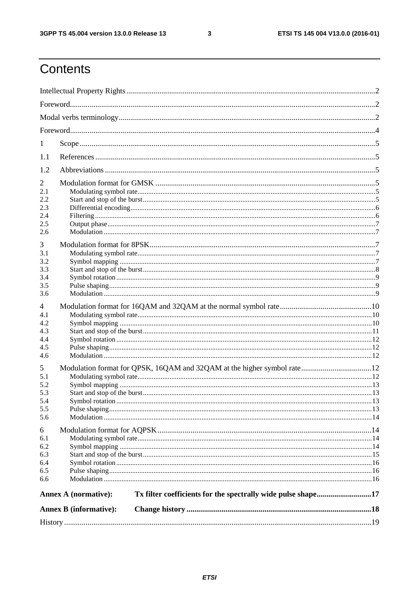$\mathbf{3}$ 

# Contents

| 1          |                                                                                             |  |  |  |  |  |
|------------|---------------------------------------------------------------------------------------------|--|--|--|--|--|
| 1.1        |                                                                                             |  |  |  |  |  |
| 1.2        |                                                                                             |  |  |  |  |  |
| 2<br>2.1   |                                                                                             |  |  |  |  |  |
| 2.2        |                                                                                             |  |  |  |  |  |
| 2.3<br>2.4 |                                                                                             |  |  |  |  |  |
| 2.5        |                                                                                             |  |  |  |  |  |
| 2.6        |                                                                                             |  |  |  |  |  |
| 3          |                                                                                             |  |  |  |  |  |
| 3.1        |                                                                                             |  |  |  |  |  |
| 3.2        |                                                                                             |  |  |  |  |  |
| 3.3        |                                                                                             |  |  |  |  |  |
| 3.4        |                                                                                             |  |  |  |  |  |
| 3.5<br>3.6 |                                                                                             |  |  |  |  |  |
|            |                                                                                             |  |  |  |  |  |
| 4          |                                                                                             |  |  |  |  |  |
| 4.1<br>4.2 |                                                                                             |  |  |  |  |  |
| 4.3        |                                                                                             |  |  |  |  |  |
| 4.4        |                                                                                             |  |  |  |  |  |
| 4.5        |                                                                                             |  |  |  |  |  |
| 4.6        |                                                                                             |  |  |  |  |  |
| 5          |                                                                                             |  |  |  |  |  |
| 5.1        |                                                                                             |  |  |  |  |  |
| 5.2        |                                                                                             |  |  |  |  |  |
| 5.3        |                                                                                             |  |  |  |  |  |
| 5.4<br>5.5 |                                                                                             |  |  |  |  |  |
| 5.6        |                                                                                             |  |  |  |  |  |
| 6          |                                                                                             |  |  |  |  |  |
| 6.1        |                                                                                             |  |  |  |  |  |
| 6.2        |                                                                                             |  |  |  |  |  |
| 6.3        |                                                                                             |  |  |  |  |  |
| 6.4        |                                                                                             |  |  |  |  |  |
| 6.5        |                                                                                             |  |  |  |  |  |
| 6.6        |                                                                                             |  |  |  |  |  |
|            | Tx filter coefficients for the spectrally wide pulse shape17<br><b>Annex A (normative):</b> |  |  |  |  |  |
|            | <b>Annex B</b> (informative):                                                               |  |  |  |  |  |
|            |                                                                                             |  |  |  |  |  |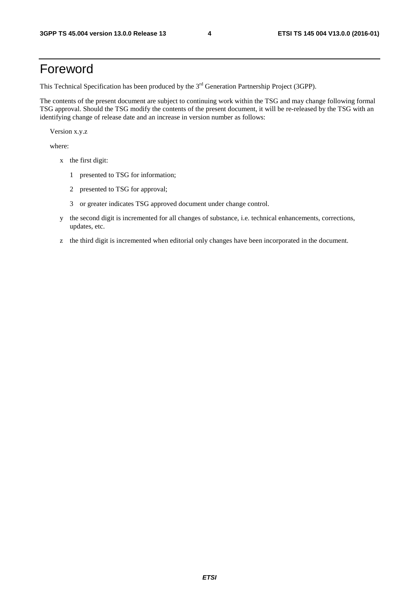# Foreword

This Technical Specification has been produced by the 3<sup>rd</sup> Generation Partnership Project (3GPP).

The contents of the present document are subject to continuing work within the TSG and may change following formal TSG approval. Should the TSG modify the contents of the present document, it will be re-released by the TSG with an identifying change of release date and an increase in version number as follows:

Version x.y.z

where:

- x the first digit:
	- 1 presented to TSG for information;
	- 2 presented to TSG for approval;
	- 3 or greater indicates TSG approved document under change control.
- y the second digit is incremented for all changes of substance, i.e. technical enhancements, corrections, updates, etc.
- z the third digit is incremented when editorial only changes have been incorporated in the document.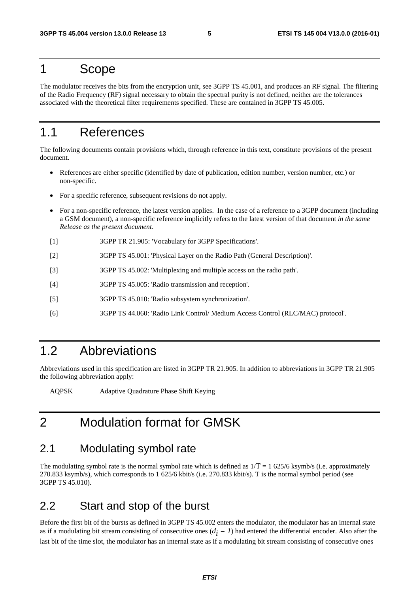### 1 Scope

The modulator receives the bits from the encryption unit, see 3GPP TS 45.001, and produces an RF signal. The filtering of the Radio Frequency (RF) signal necessary to obtain the spectral purity is not defined, neither are the tolerances associated with the theoretical filter requirements specified. These are contained in 3GPP TS 45.005.

# 1.1 References

The following documents contain provisions which, through reference in this text, constitute provisions of the present document.

- References are either specific (identified by date of publication, edition number, version number, etc.) or non-specific.
- For a specific reference, subsequent revisions do not apply.
- For a non-specific reference, the latest version applies. In the case of a reference to a 3GPP document (including a GSM document), a non-specific reference implicitly refers to the latest version of that document *in the same Release as the present document*.
- [1] 3GPP TR 21.905: 'Vocabulary for 3GPP Specifications'.
- [2] 3GPP TS 45.001: 'Physical Layer on the Radio Path (General Description)'.
- [3] 3GPP TS 45.002: 'Multiplexing and multiple access on the radio path'.
- [4] 3GPP TS 45.005: 'Radio transmission and reception'.
- [5] 3GPP TS 45.010: 'Radio subsystem synchronization'.
- [6] 3GPP TS 44.060: 'Radio Link Control/ Medium Access Control (RLC/MAC) protocol'.

# 1.2 Abbreviations

Abbreviations used in this specification are listed in 3GPP TR 21.905. In addition to abbreviations in 3GPP TR 21.905 the following abbreviation apply:

AQPSK Adaptive Quadrature Phase Shift Keying

# 2 Modulation format for GMSK

#### 2.1 Modulating symbol rate

The modulating symbol rate is the normal symbol rate which is defined as  $1/T = 1$  625/6 ksymb/s (i.e. approximately 270.833 ksymb/s), which corresponds to 1 625/6 kbit/s (i.e. 270.833 kbit/s). T is the normal symbol period (see 3GPP TS 45.010).

### 2.2 Start and stop of the burst

Before the first bit of the bursts as defined in 3GPP TS 45.002 enters the modulator, the modulator has an internal state as if a modulating bit stream consisting of consecutive ones  $(d_i = 1)$  had entered the differential encoder. Also after the last bit of the time slot, the modulator has an internal state as if a modulating bit stream consisting of consecutive ones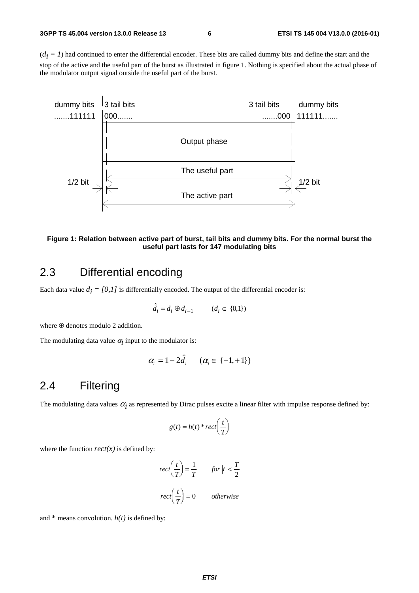$(d_i = 1)$  had continued to enter the differential encoder. These bits are called dummy bits and define the start and the stop of the active and the useful part of the burst as illustrated in figure 1. Nothing is specified about the actual phase of the modulator output signal outside the useful part of the burst.



#### **Figure 1: Relation between active part of burst, tail bits and dummy bits. For the normal burst the useful part lasts for 147 modulating bits**

### 2.3 Differential encoding

Each data value  $d_i = [0,1]$  is differentially encoded. The output of the differential encoder is:

$$
\hat{d}_i = d_i \oplus d_{i-1} \qquad (d_i \in \{0,1\})
$$

where ⊕ denotes modulo 2 addition.

The modulating data value  $\alpha_i$  input to the modulator is:

$$
\alpha_i = 1 - 2\hat{d}_i \quad (\alpha_i \in \{-1, +1\})
$$

### 2.4 Filtering

The modulating data values  $\alpha_i$  as represented by Dirac pulses excite a linear filter with impulse response defined by:

$$
g(t) = h(t) * rect\left(\frac{t}{T}\right)
$$

where the function  $rect(x)$  is defined by:

$$
rect\left(\frac{t}{T}\right) = \frac{1}{T} \qquad for \left| t \right| < \frac{T}{2}
$$

$$
rect\left(\frac{t}{T}\right) = 0 \qquad otherwise
$$

 $\overline{r}$ 

and  $*$  means convolution.  $h(t)$  is defined by: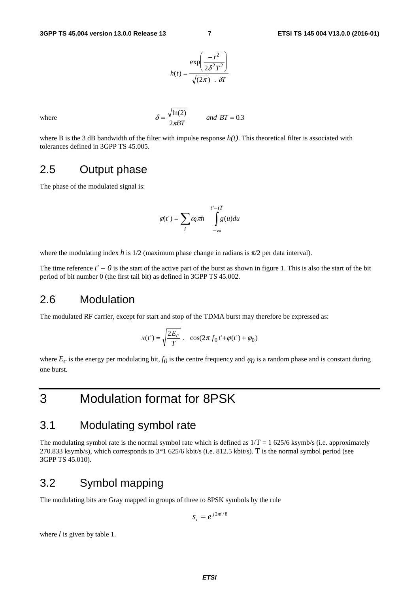$$
h(t) = \frac{\exp\left(\frac{-t^2}{2\delta^2 T^2}\right)}{\sqrt{(2\pi)}}.
$$

where  $\delta$ 

$$
S = \frac{\sqrt{\ln(2)}}{2\pi B T} \qquad \text{and } BT = 0.3
$$

where B is the 3 dB bandwidth of the filter with impulse response  $h(t)$ . This theoretical filter is associated with tolerances defined in 3GPP TS 45.005.

#### 2.5 Output phase

The phase of the modulated signal is:

$$
\varphi(t') = \sum_{i} \alpha_i \pi h \int_{-\infty}^{t'-iT} g(u) du
$$

where the modulating index *h* is  $1/2$  (maximum phase change in radians is  $\pi/2$  per data interval).

The time reference  $t' = 0$  is the start of the active part of the burst as shown in figure 1. This is also the start of the bit period of bit number 0 (the first tail bit) as defined in 3GPP TS 45.002.

#### 2.6 Modulation

The modulated RF carrier, except for start and stop of the TDMA burst may therefore be expressed as:

$$
x(t')=\sqrt{\frac{2E_c}{T}}\;.\quad \cos(2\pi\,f_0\,t'+\varphi(t')+\varphi_0)
$$

where  $E_c$  is the energy per modulating bit,  $f_0$  is the centre frequency and  $\varphi_0$  is a random phase and is constant during one burst.

# 3 Modulation format for 8PSK

# 3.1 Modulating symbol rate

The modulating symbol rate is the normal symbol rate which is defined as  $1/T = 1625/6$  ksymb/s (i.e. approximately 270.833 ksymb/s), which corresponds to 3\*1 625/6 kbit/s (i.e. 812.5 kbit/s). T is the normal symbol period (see 3GPP TS 45.010).

#### 3.2 Symbol mapping

The modulating bits are Gray mapped in groups of three to 8PSK symbols by the rule

$$
s_i = e^{j2\pi i/8}
$$

where *l* is given by table 1.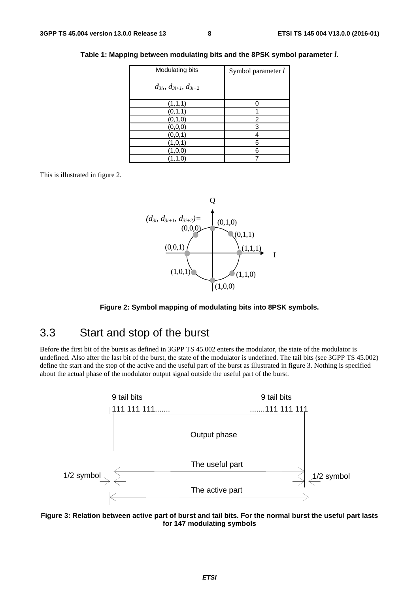|  |  | Table 1: Mapping between modulating bits and the 8PSK symbol parameter $l_{\cdot}$ |
|--|--|------------------------------------------------------------------------------------|
|--|--|------------------------------------------------------------------------------------|

| Modulating bits                    | Symbol parameter l |
|------------------------------------|--------------------|
| $d_{3i}$ , $d_{3i+1}$ , $d_{3i+2}$ |                    |
| (1,1,1)                            |                    |
| (0,1,1)                            |                    |
| (0, 1, 0)                          | 2                  |
| (0, 0, 0)                          | 3                  |
| (0, 0, 1)                          |                    |
| (1, 0, 1)                          | 5                  |
| $1{,}0{,}0)$                       | 6                  |
| 1, 1, 0                            |                    |

This is illustrated in figure 2.



**Figure 2: Symbol mapping of modulating bits into 8PSK symbols.** 

### 3.3 Start and stop of the burst

Before the first bit of the bursts as defined in 3GPP TS 45.002 enters the modulator, the state of the modulator is undefined. Also after the last bit of the burst, the state of the modulator is undefined. The tail bits (see 3GPP TS 45.002) define the start and the stop of the active and the useful part of the burst as illustrated in figure 3. Nothing is specified about the actual phase of the modulator output signal outside the useful part of the burst.



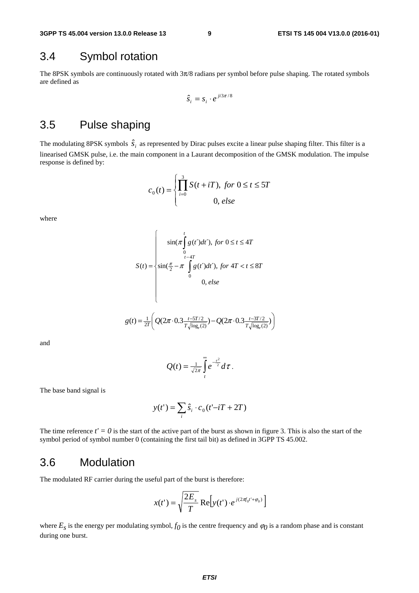#### 3.4 Symbol rotation

The 8PSK symbols are continuously rotated with 3π/8 radians per symbol before pulse shaping. The rotated symbols are defined as

$$
\hat{s}_i = s_i \cdot e^{ji3\pi/8}
$$

# 3.5 Pulse shaping

The modulating 8PSK symbols  $\hat{s}_i$  as represented by Dirac pulses excite a linear pulse shaping filter. This filter is a linearised GMSK pulse, i.e. the main component in a Laurant decomposition of the GMSK modulation. The impulse response is defined by:

$$
c_0(t) = \begin{cases} \prod_{i=0}^{3} S(t + iT), \text{ for } 0 \le t \le 5T\\ 0, \text{ else} \end{cases}
$$

where

$$
S(t) = \begin{cases} \n\sin(\pi \int_{0}^{t} g(t')dt'), \text{ for } 0 \le t \le 4T \\
\sin(\frac{\pi}{2} - \pi \int_{0}^{t-4T} g(t')dt'), \text{ for } 4T < t \le 8T \\
0, \text{ else}\n\end{cases}
$$

$$
g(t) = \frac{1}{2T} \bigg( Q(2\pi \cdot 0.3 \frac{t - 5T/2}{T\sqrt{\log_e(2)}}) - Q(2\pi \cdot 0.3 \frac{t - 3T/2}{T\sqrt{\log_e(2)}}) \bigg)
$$

 $\overline{\mathfrak{l}}$ 

⎩

and

$$
Q(t) = \frac{1}{\sqrt{2\pi}} \int_{t}^{\infty} e^{-\frac{\tau^2}{2}} d\tau.
$$

The base band signal is

$$
y(t') = \sum_{i} \hat{s}_i \cdot c_0(t'-iT+2T)
$$

The time reference  $t' = 0$  is the start of the active part of the burst as shown in figure 3. This is also the start of the symbol period of symbol number 0 (containing the first tail bit) as defined in 3GPP TS 45.002.

#### 3.6 Modulation

The modulated RF carrier during the useful part of the burst is therefore:

$$
x(t') = \sqrt{\frac{2E_s}{T}} \operatorname{Re} \left[ y(t') \cdot e^{j(2\pi f_0 t' + \varphi_0)} \right]
$$

where  $E_s$  is the energy per modulating symbol,  $f_0$  is the centre frequency and  $\varphi_0$  is a random phase and is constant during one burst.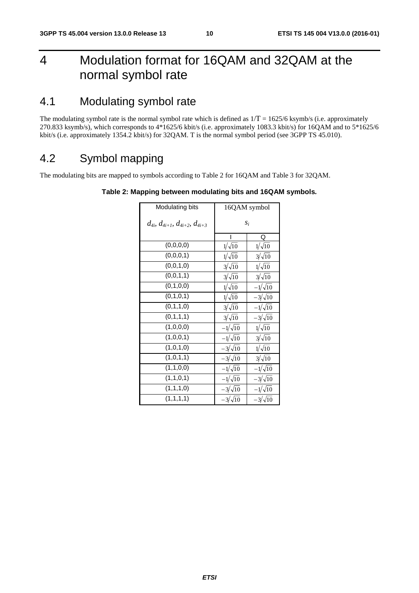# 4 Modulation format for 16QAM and 32QAM at the normal symbol rate

# 4.1 Modulating symbol rate

The modulating symbol rate is the normal symbol rate which is defined as  $1/T = 1625/6$  ksymb/s (i.e. approximately 270.833 ksymb/s), which corresponds to 4\*1625/6 kbit/s (i.e. approximately 1083.3 kbit/s) for 16QAM and to 5\*1625/6 kbit/s (i.e. approximately 1354.2 kbit/s) for 32QAM. T is the normal symbol period (see 3GPP TS 45.010).

# 4.2 Symbol mapping

The modulating bits are mapped to symbols according to Table 2 for 16QAM and Table 3 for 32QAM.

| Modulating bits                                 |                | 16QAM symbol   |  |
|-------------------------------------------------|----------------|----------------|--|
| $d_{4i}$ , $d_{4i+1}$ , $d_{4i+2}$ , $d_{4i+3}$ | $S_i$          |                |  |
|                                                 |                | Q              |  |
| (0,0,0,0)                                       | $1/\sqrt{10}$  | $1/\sqrt{10}$  |  |
| (0,0,0,1)                                       | $1/\sqrt{10}$  | $3/\sqrt{10}$  |  |
| (0,0,1,0)                                       | $3/\sqrt{10}$  | $1/\sqrt{10}$  |  |
| (0,0,1,1)                                       | $3/\sqrt{10}$  | $3/\sqrt{10}$  |  |
| (0,1,0,0)                                       | $1/\sqrt{10}$  | $-1/\sqrt{10}$ |  |
| (0,1,0,1)                                       | $1/\sqrt{10}$  | $-3/\sqrt{10}$ |  |
| (0,1,1,0)                                       | $3/\sqrt{10}$  | $-1/\sqrt{10}$ |  |
| (0,1,1,1)                                       | $3/\sqrt{10}$  | $-3/\sqrt{10}$ |  |
| (1,0,0,0)                                       | $-1/\sqrt{10}$ | $1/\sqrt{10}$  |  |
| (1,0,0,1)                                       | $-1/\sqrt{10}$ | $3/\sqrt{10}$  |  |
| (1,0,1,0)                                       | $-3/\sqrt{10}$ | $1/\sqrt{10}$  |  |
| (1,0,1,1)                                       | $-3/\sqrt{10}$ | $3/\sqrt{10}$  |  |
| (1,1,0,0)                                       | $-1/\sqrt{10}$ | $-1/\sqrt{10}$ |  |
| (1,1,0,1)                                       | $-1/\sqrt{10}$ | $-3/\sqrt{10}$ |  |
| (1,1,1,0)                                       | $-3/\sqrt{10}$ | $-1/\sqrt{10}$ |  |
| (1,1,1,1)                                       | $-3/\sqrt{10}$ | $-3/\sqrt{10}$ |  |

#### **Table 2: Mapping between modulating bits and 16QAM symbols***.*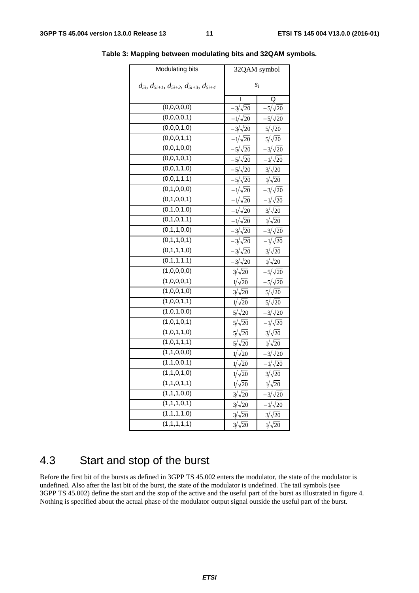| Modulating bits                                              |                | 32QAM symbol   |
|--------------------------------------------------------------|----------------|----------------|
| $d_{5i}$ , $d_{5i+1}$ , $d_{5i+2}$ , $d_{5i+3}$ , $d_{5i+4}$ | $S_i$          |                |
|                                                              | I              | Q              |
| (0,0,0,0,0)                                                  | $-3/\sqrt{20}$ | $-5/\sqrt{20}$ |
| (0,0,0,0,1)                                                  | $-1/\sqrt{20}$ | $-5/\sqrt{20}$ |
| (0,0,0,1,0)                                                  | $-3/\sqrt{20}$ | $5/\sqrt{20}$  |
| (0,0,0,1,1)                                                  | $-1/\sqrt{20}$ | $5/\sqrt{20}$  |
| (0,0,1,0,0)                                                  | $-5/\sqrt{20}$ | $-3/\sqrt{20}$ |
| (0,0,1,0,1)                                                  | $-5/\sqrt{20}$ | $-1/\sqrt{20}$ |
| (0,0,1,1,0)                                                  | $-5/\sqrt{20}$ | $3/\sqrt{20}$  |
| (0,0,1,1,1)                                                  | $-5/\sqrt{20}$ | $1/\sqrt{20}$  |
| (0,1,0,0,0)                                                  | $-1/\sqrt{20}$ | $-3/\sqrt{20}$ |
| (0,1,0,0,1)                                                  | $-1/\sqrt{20}$ | $-1/\sqrt{20}$ |
| (0,1,0,1,0)                                                  | $-1/\sqrt{20}$ | $3/\sqrt{20}$  |
| (0,1,0,1,1)                                                  | $-1/\sqrt{20}$ | $\sqrt{20}$    |
| (0,1,1,0,0)                                                  | $-3/\sqrt{20}$ | $-3/\sqrt{20}$ |
| (0,1,1,0,1)                                                  | $-3/\sqrt{20}$ | $-1/\sqrt{20}$ |
| (0,1,1,1,0)                                                  | $-3/\sqrt{20}$ | $3/\sqrt{20}$  |
| (0,1,1,1,1)                                                  | $-3/\sqrt{20}$ | $1/\sqrt{20}$  |
| (1,0,0,0,0)                                                  | $3/\sqrt{20}$  | $-5/\sqrt{20}$ |
| (1,0,0,0,1)                                                  | $1/\sqrt{20}$  | $-5/\sqrt{20}$ |
| (1,0,0,1,0)                                                  | $3/\sqrt{20}$  | $5/\sqrt{20}$  |
| (1,0,0,1,1)                                                  | $1/\sqrt{20}$  | $5/\sqrt{20}$  |
| (1,0,1,0,0)                                                  | $5/\sqrt{20}$  | $-3/\sqrt{20}$ |
| (1,0,1,0,1)                                                  | $5/\sqrt{20}$  | $-1/\sqrt{20}$ |
| (1,0,1,1,0)                                                  | $5/\sqrt{20}$  | $3/\sqrt{20}$  |
| (1,0,1,1,1)                                                  | $5/\sqrt{20}$  | $1/\sqrt{20}$  |
| (1,1,0,0,0)                                                  | $1/\sqrt{20}$  | $-3/\sqrt{20}$ |
| (1,1,0,0,1)                                                  | $\sqrt{20}$    | $-1/\sqrt{20}$ |
| (1,1,0,1,0)                                                  | $\sqrt{20}$    | $3/\sqrt{20}$  |
| (1,1,0,1,1)                                                  | $1/\sqrt{20}$  | $1/\sqrt{20}$  |
| (1,1,1,0,0)                                                  | $3/\sqrt{20}$  | $3/\sqrt{20}$  |
| (1,1,1,0,1)                                                  | $3/\sqrt{20}$  | $-1/\sqrt{20}$ |
| (1,1,1,1,0)                                                  | $3/\sqrt{20}$  | $3/\sqrt{20}$  |
| (1,1,1,1,1)                                                  | $3/\sqrt{20}$  | $\sqrt{20}$    |

**Table 3: Mapping between modulating bits and 32QAM symbols***.* 

# 4.3 Start and stop of the burst

Before the first bit of the bursts as defined in 3GPP TS 45.002 enters the modulator, the state of the modulator is undefined. Also after the last bit of the burst, the state of the modulator is undefined. The tail symbols (see 3GPP TS 45.002) define the start and the stop of the active and the useful part of the burst as illustrated in figure 4. Nothing is specified about the actual phase of the modulator output signal outside the useful part of the burst.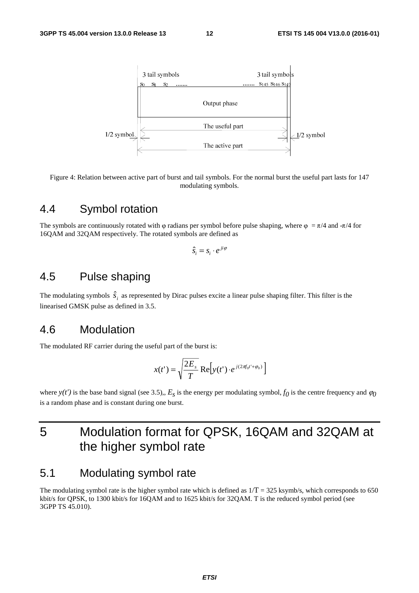

Figure 4: Relation between active part of burst and tail symbols. For the normal burst the useful part lasts for 147 modulating symbols.

#### 4.4 Symbol rotation

The symbols are continuously rotated with φ radians per symbol before pulse shaping, where  $\varphi = \pi/4$  and  $-\pi/4$  for 16QAM and 32QAM respectively. The rotated symbols are defined as

$$
\hat{s}_i = s_i \cdot e^{ji\varphi}
$$

# 4.5 Pulse shaping

The modulating symbols  $\hat{S}_i$  as represented by Dirac pulses excite a linear pulse shaping filter. This filter is the linearised GMSK pulse as defined in 3.5.

#### 4.6 Modulation

The modulated RF carrier during the useful part of the burst is:

$$
x(t') = \sqrt{\frac{2E_s}{T}} \operatorname{Re} \left[ y(t') \cdot e^{j(2\pi \theta_0 t' + \varphi_0)} \right]
$$

where  $y(t')$  is the base band signal (see 3.5),,  $E_s$  is the energy per modulating symbol,  $f_0$  is the centre frequency and  $\varphi_0$ is a random phase and is constant during one burst.

# 5 Modulation format for QPSK, 16QAM and 32QAM at the higher symbol rate

### 5.1 Modulating symbol rate

The modulating symbol rate is the higher symbol rate which is defined as  $1/T = 325$  ksymb/s, which corresponds to 650 kbit/s for QPSK, to 1300 kbit/s for 16QAM and to 1625 kbit/s for 32QAM. T is the reduced symbol period (see 3GPP TS 45.010).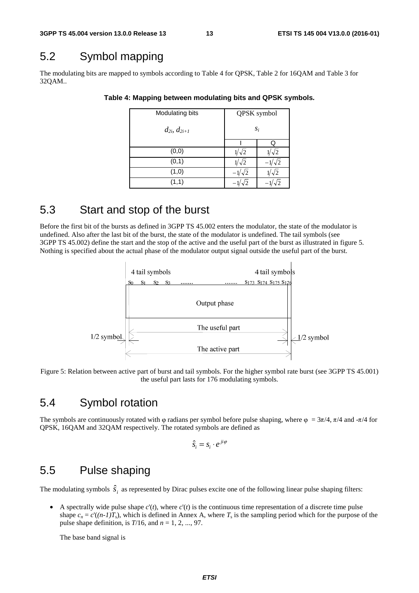# 5.2 Symbol mapping

The modulating bits are mapped to symbols according to Table 4 for QPSK, Table 2 for 16QAM and Table 3 for 32QAM..

| Modulating bits       | QPSK symbol |             |  |
|-----------------------|-------------|-------------|--|
| $d_{2i}$ , $d_{2i+1}$ | $S_i$       |             |  |
|                       |             | Q           |  |
| (0, 0)                | $\sqrt{2}$  | $/\sqrt{2}$ |  |
| (0,1)                 | $\sqrt{2}$  | $\sqrt{2}$  |  |
| (1,0)                 | J2          | $\sqrt{2}$  |  |
| (1,1)                 |             |             |  |

#### **Table 4: Mapping between modulating bits and QPSK symbols***.*

# 5.3 Start and stop of the burst

Before the first bit of the bursts as defined in 3GPP TS 45.002 enters the modulator, the state of the modulator is undefined. Also after the last bit of the burst, the state of the modulator is undefined. The tail symbols (see 3GPP TS 45.002) define the start and the stop of the active and the useful part of the burst as illustrated in figure 5. Nothing is specified about the actual phase of the modulator output signal outside the useful part of the burst.



Figure 5: Relation between active part of burst and tail symbols. For the higher symbol rate burst (see 3GPP TS 45.001) the useful part lasts for 176 modulating symbols.

#### 5.4 Symbol rotation

The symbols are continuously rotated with  $\varphi$  radians per symbol before pulse shaping, where  $\varphi = 3\pi/4$ ,  $\pi/4$  and  $-\pi/4$  for QPSK, 16QAM and 32QAM respectively. The rotated symbols are defined as

$$
\hat{s}_i = s_i \cdot e^{ji\varphi}
$$

### 5.5 Pulse shaping

The modulating symbols  $\hat{s}$ , as represented by Dirac pulses excite one of the following linear pulse shaping filters:

• A spectrally wide pulse shape  $c'(t)$ , where  $c'(t)$  is the continuous time representation of a discrete time pulse shape  $c_n = c'((n-1)T_s)$ , which is defined in Annex A, where  $T_s$  is the sampling period which for the purpose of the pulse shape definition, is *T*/16, and *n* = 1, 2, ..., 97.

The base band signal is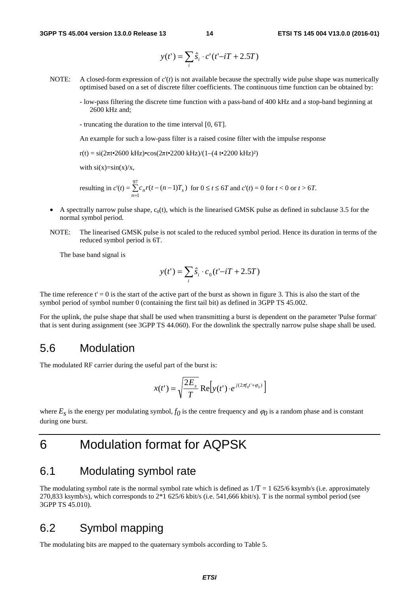$$
y(t') = \sum_{i} \hat{s}_i \cdot c'(t'-iT+2.5T)
$$

- NOTE: A closed-form expression of  $c'(t)$  is not available because the spectrally wide pulse shape was numerically optimised based on a set of discrete filter coefficients. The continuous time function can be obtained by:
	- low-pass filtering the discrete time function with a pass-band of 400 kHz and a stop-band beginning at 2600 kHz and;
	- truncating the duration to the time interval [0, 6T].

An example for such a low-pass filter is a raised cosine filter with the impulse response

r(t) = si(2πt•2600 kHz)•cos(2πt•2200 kHz)/(1–(4 t•2200 kHz)<sup>2</sup>)

with  $si(x)=sin(x)/x$ ,

resulting in 
$$
c'(t) = \sum_{n=1}^{97} c_n r(t - (n-1)T_s)
$$
 for  $0 \le t \le 6T$  and  $c'(t) = 0$  for  $t < 0$  or  $t > 6T$ .

- A spectrally narrow pulse shape,  $c_0(t)$ , which is the linearised GMSK pulse as defined in subclause 3.5 for the normal symbol period.
- NOTE: The linearised GMSK pulse is not scaled to the reduced symbol period. Hence its duration in terms of the reduced symbol period is 6T.

The base band signal is

$$
y(t') = \sum_{i} \hat{s}_i \cdot c_0(t'-iT+2.5T)
$$

The time reference  $t' = 0$  is the start of the active part of the burst as shown in figure 3. This is also the start of the symbol period of symbol number 0 (containing the first tail bit) as defined in 3GPP TS 45.002.

For the uplink, the pulse shape that shall be used when transmitting a burst is dependent on the parameter 'Pulse format' that is sent during assignment (see 3GPP TS 44.060). For the downlink the spectrally narrow pulse shape shall be used.

#### 5.6 Modulation

The modulated RF carrier during the useful part of the burst is:

$$
x(t') = \sqrt{\frac{2E_s}{T}} \operatorname{Re}\left[ y(t') \cdot e^{j(2\pi f_0 t' + \varphi_0)} \right]
$$

where  $E_s$  is the energy per modulating symbol,  $f_0$  is the centre frequency and  $\varphi_0$  is a random phase and is constant during one burst.

# 6 Modulation format for AQPSK

#### 6.1 Modulating symbol rate

The modulating symbol rate is the normal symbol rate which is defined as  $1/T = 1$  625/6 ksymb/s (i.e. approximately 270,833 ksymb/s), which corresponds to 2\*1 625/6 kbit/s (i.e. 541,666 kbit/s). T is the normal symbol period (see 3GPP TS 45.010).

#### 6.2 Symbol mapping

The modulating bits are mapped to the quaternary symbols according to Table 5.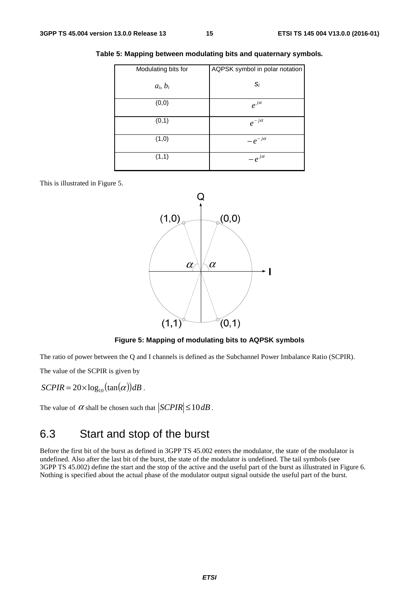| Modulating bits for | AQPSK symbol in polar notation |
|---------------------|--------------------------------|
| $a_i, b_i$          | $S_i$                          |
| (0, 0)              | $e^{j\alpha}$                  |
| (0,1)               | $e^{-j\alpha}$                 |
| (1,0)               | $-e^{-j\alpha}$                |
| (1,1)               | $-e^{j\alpha}$                 |

**Table 5: Mapping between modulating bits and quaternary symbols***.*

This is illustrated in Figure 5.



#### **Figure 5: Mapping of modulating bits to AQPSK symbols**

The ratio of power between the Q and I channels is defined as the Subchannel Power Imbalance Ratio (SCPIR).

The value of the SCPIR is given by

$$
SCPIR = 20 \times \log_{10}(\tan(\alpha))dB.
$$

 $\overline{\phantom{a}}$ 

The value of  $\alpha$  shall be chosen such that  $|SCPIR| \le 10 dB$ .

# 6.3 Start and stop of the burst

Before the first bit of the burst as defined in 3GPP TS 45.002 enters the modulator, the state of the modulator is undefined. Also after the last bit of the burst, the state of the modulator is undefined. The tail symbols (see 3GPP TS 45.002) define the start and the stop of the active and the useful part of the burst as illustrated in Figure 6. Nothing is specified about the actual phase of the modulator output signal outside the useful part of the burst.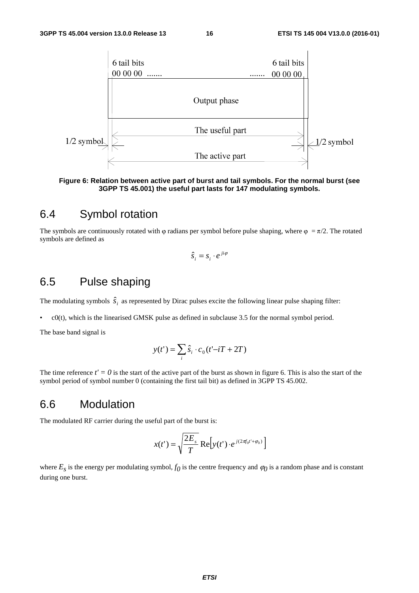

**Figure 6: Relation between active part of burst and tail symbols. For the normal burst (see 3GPP TS 45.001) the useful part lasts for 147 modulating symbols.** 

#### 6.4 Symbol rotation

The symbols are continuously rotated with φ radians per symbol before pulse shaping, where  $\varphi = \pi/2$ . The rotated symbols are defined as

$$
\hat{s}_i = s_i \cdot e^{ji\varphi}
$$

#### 6.5 Pulse shaping

The modulating symbols  $\hat{s}_i$  as represented by Dirac pulses excite the following linear pulse shaping filter:

 $e^{O(t)}$ , which is the linearised GMSK pulse as defined in subclause 3.5 for the normal symbol period.

The base band signal is

$$
y(t') = \sum_{i} \hat{s}_i \cdot c_0(t'-iT + 2T)
$$

The time reference  $t' = 0$  is the start of the active part of the burst as shown in figure 6. This is also the start of the symbol period of symbol number 0 (containing the first tail bit) as defined in 3GPP TS 45.002.

#### 6.6 Modulation

The modulated RF carrier during the useful part of the burst is:

$$
x(t') = \sqrt{\frac{2E_s}{T} \operatorname{Re} \left[ y(t') \cdot e^{j(2\pi f_0 t' + \varphi_0)} \right]}
$$

where  $E_s$  is the energy per modulating symbol,  $f_0$  is the centre frequency and  $\varphi_0$  is a random phase and is constant during one burst.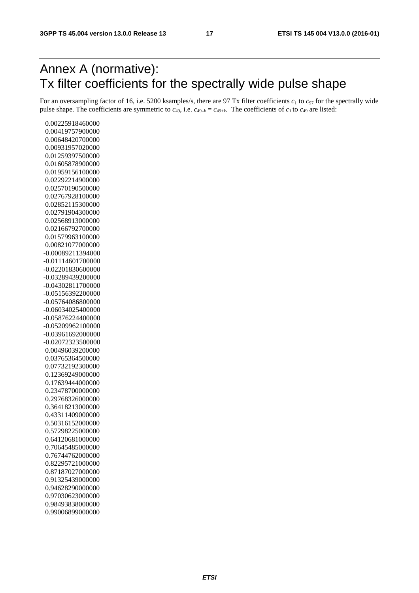# Annex A (normative): Tx filter coefficients for the spectrally wide pulse shape

For an oversampling factor of 16, i.e. 5200 ksamples/s, there are 97 Tx filter coefficients  $c_1$  to  $c_{97}$  for the spectrally wide pulse shape. The coefficients are symmetric to  $c_{49}$ , i.e.  $c_{49-k} = c_{49+k}$ . The coefficients of  $c_1$  to  $c_{49}$  are listed:

 0.00225918460000 0.00419757900000 0.00648420700000 0.00931957020000 0.01259397500000 0.01605878900000 0.01959156100000 0.02292214900000 0.02570190500000 0.02767928100000 0.02852115300000 0.02791904300000 0.02568913000000 0.02166792700000 0.01579963100000 0.00821077000000 -0.00089211394000 -0.01114601700000 -0.02201830600000 -0.03289439200000 -0.04302811700000 -0.05156392200000 -0.05764086800000 -0.06034025400000 -0.05876224400000 -0.05209962100000 -0.03961692000000 -0.02072323500000 0.00496039200000 0.03765364500000 0.07732192300000 0.12369249000000 0.17639444000000 0.23478700000000 0.29768326000000 0.36418213000000 0.43311409000000 0.50316152000000 0.57298225000000 0.64120681000000 0.70645485000000 0.76744762000000 0.82295721000000 0.87187027000000 0.91325439000000 0.94628290000000 0.97030623000000 0.98493838000000 0.99006899000000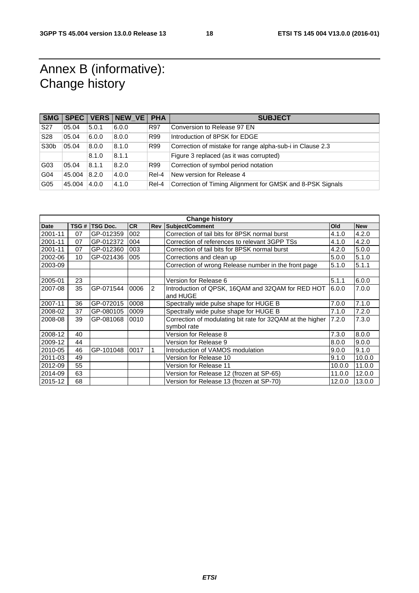# Annex B (informative): Change history

| <b>SMG</b>        | SPEC <sup>1</sup> |       | VERS NEW VE | <b>PHA</b> | <b>SUBJECT</b>                                            |
|-------------------|-------------------|-------|-------------|------------|-----------------------------------------------------------|
| S <sub>27</sub>   | 05.04             | 5.0.1 | 6.0.0       | <b>R97</b> | Conversion to Release 97 EN                               |
| S <sub>28</sub>   | 05.04             | 6.0.0 | 8.0.0       | R99        | Introduction of 8PSK for EDGE                             |
| S <sub>30</sub> b | 05.04             | 8.0.0 | 8.1.0       | R99        | Correction of mistake for range alpha-sub-i in Clause 2.3 |
|                   |                   | 8.1.0 | 8.1.1       |            | Figure 3 replaced (as it was corrupted)                   |
| G03               | 05.04             | 8.1.1 | 8.2.0       | R99        | Correction of symbol period notation                      |
| G04               | 45.004            | 8.2.0 | 4.0.0       | Rel-4      | New version for Release 4                                 |
| G05               | 45.004            | 4.0.0 | 4.1.0       | Rel-4      | Correction of Timing Alignment for GMSK and 8-PSK Signals |

| <b>Change history</b> |      |                 |           |            |                                                           |        |            |
|-----------------------|------|-----------------|-----------|------------|-----------------------------------------------------------|--------|------------|
| <b>Date</b>           | TSG# | <b>TSG Doc.</b> | <b>CR</b> | <b>Rev</b> | Subject/Comment                                           | Old    | <b>New</b> |
| 2001-11               | 07   | GP-012359       | 002       |            | Correction of tail bits for 8PSK normal burst             | 4.1.0  | 4.2.0      |
| 2001-11               | 07   | GP-012372       | 004       |            | Correction of references to relevant 3GPP TSs             | 4.1.0  | 4.2.0      |
| 2001-11               | 07   | GP-012360       | 003       |            | Correction of tail bits for 8PSK normal burst             | 4.2.0  | 5.0.0      |
| 2002-06               | 10   | GP-021436       | 005       |            | Corrections and clean up                                  | 5.0.0  | 5.1.0      |
| 2003-09               |      |                 |           |            | Correction of wrong Release number in the front page      | 5.1.0  | 5.1.1      |
|                       |      |                 |           |            |                                                           |        |            |
| 2005-01               | 23   |                 |           |            | Version for Release 6                                     | 5.1.1  | 6.0.0      |
| 2007-08               | 35   | GP-071544       | 0006      | 2          | Introduction of QPSK, 16QAM and 32QAM for RED HOT         | 6.0.0  | 7.0.0      |
|                       |      |                 |           |            | and HUGE                                                  |        |            |
| 2007-11               | 36   | GP-072015       | 0008      |            | Spectrally wide pulse shape for HUGE B                    | 7.0.0  | 7.1.0      |
| 2008-02               | 37   | GP-080105       | 0009      |            | Spectrally wide pulse shape for HUGE B                    | 7.1.0  | 7.2.0      |
| 2008-08               | 39   | GP-081068       | 0010      |            | Correction of modulating bit rate for 32QAM at the higher | 7.2.0  | 7.3.0      |
|                       |      |                 |           |            | symbol rate                                               |        |            |
| 2008-12               | 40   |                 |           |            | Version for Release 8                                     | 7.3.0  | 8.0.0      |
| 2009-12               | 44   |                 |           |            | Version for Release 9                                     | 8.0.0  | 9.0.0      |
| 2010-05               | 46   | GP-101048       | 0017      |            | Introduction of VAMOS modulation                          | 9.0.0  | 9.1.0      |
| 2011-03               | 49   |                 |           |            | Version for Release 10                                    | 9.1.0  | 10.0.0     |
| 2012-09               | 55   |                 |           |            | Version for Release 11                                    | 10.0.0 | 11.0.0     |
| 2014-09               | 63   |                 |           |            | Version for Release 12 (frozen at SP-65)                  | 11.0.0 | 12.0.0     |
| 2015-12               | 68   |                 |           |            | Version for Release 13 (frozen at SP-70)                  | 12.0.0 | 13.0.0     |